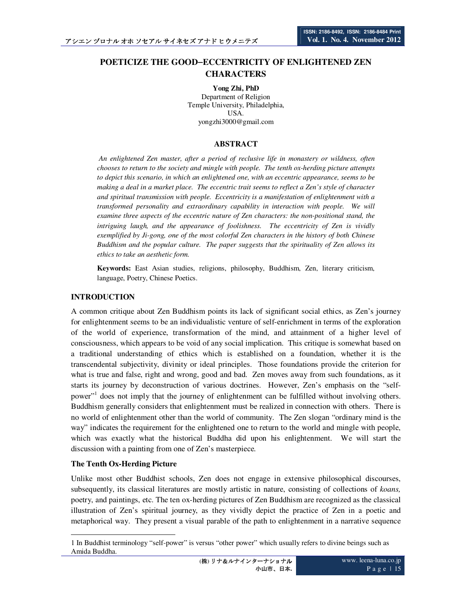# **POETICIZE THE GOOD**−**ECCENTRICITY OF ENLIGHTENED ZEN CHARACTERS**

**Yong Zhi, PhD** Department of Religion Temple University, Philadelphia, USA. yongzhi3000@gmail.com

### **ABSTRACT**

 *An enlightened Zen master, after a period of reclusive life in monastery or wildness, often chooses to return to the society and mingle with people. The tenth ox-herding picture attempts to depict this scenario, in which an enlightened one, with an eccentric appearance, seems to be making a deal in a market place. The eccentric trait seems to reflect a Zen's style of character and spiritual transmission with people. Eccentricity is a manifestation of enlightenment with a transformed personality and extraordinary capability in interaction with people. We will examine three aspects of the eccentric nature of Zen characters: the non-positional stand, the intriguing laugh, and the appearance of foolishness. The eccentricity of Zen is vividly exemplified by Ji-gong, one of the most colorful Zen characters in the history of both Chinese Buddhism and the popular culture. The paper suggests that the spirituality of Zen allows its ethics to take an aesthetic form.* 

**Keywords:** East Asian studies, religions, philosophy, Buddhism, Zen, literary criticism, language, Poetry, Chinese Poetics.

## **INTRODUCTION**

A common critique about Zen Buddhism points its lack of significant social ethics, as Zen's journey for enlightenment seems to be an individualistic venture of self-enrichment in terms of the exploration of the world of experience, transformation of the mind, and attainment of a higher level of consciousness, which appears to be void of any social implication. This critique is somewhat based on a traditional understanding of ethics which is established on a foundation, whether it is the transcendental subjectivity, divinity or ideal principles. Those foundations provide the criterion for what is true and false, right and wrong, good and bad. Zen moves away from such foundations, as it starts its journey by deconstruction of various doctrines. However, Zen's emphasis on the "selfpower"<sup>1</sup> does not imply that the journey of enlightenment can be fulfilled without involving others. Buddhism generally considers that enlightenment must be realized in connection with others. There is no world of enlightenment other than the world of community. The Zen slogan "ordinary mind is the way" indicates the requirement for the enlightened one to return to the world and mingle with people, which was exactly what the historical Buddha did upon his enlightenment. We will start the discussion with a painting from one of Zen's masterpiece.

#### **The Tenth Ox-Herding Picture**

Unlike most other Buddhist schools, Zen does not engage in extensive philosophical discourses, subsequently, its classical literatures are mostly artistic in nature, consisting of collections of *koans,*  poetry, and paintings, etc. The ten ox-herding pictures of Zen Buddhism are recognized as the classical illustration of Zen's spiritual journey, as they vividly depict the practice of Zen in a poetic and metaphorical way. They present a visual parable of the path to enlightenment in a narrative sequence

 $\overline{a}$ 1 In Buddhist terminology "self-power" is versus "other power" which usually refers to divine beings such as Amida Buddha.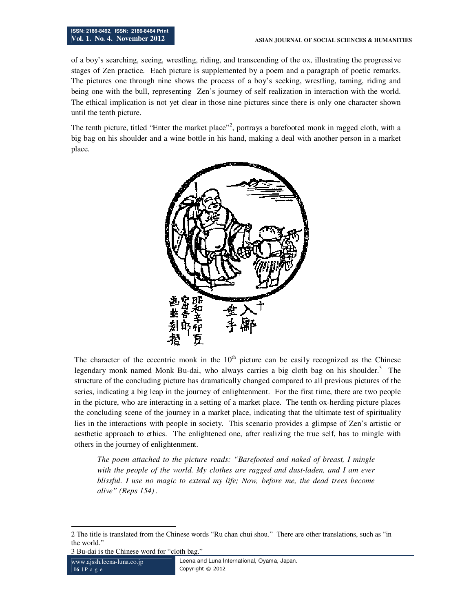of a boy's searching, seeing, wrestling, riding, and transcending of the ox, illustrating the progressive stages of Zen practice. Each picture is supplemented by a poem and a paragraph of poetic remarks. The pictures one through nine shows the process of a boy's seeking, wrestling, taming, riding and being one with the bull, representing Zen's journey of self realization in interaction with the world. The ethical implication is not yet clear in those nine pictures since there is only one character shown until the tenth picture.

The tenth picture, titled "Enter the market place"<sup>2</sup>, portrays a barefooted monk in ragged cloth, with a big bag on his shoulder and a wine bottle in his hand, making a deal with another person in a market place.



The character of the eccentric monk in the  $10<sup>th</sup>$  picture can be easily recognized as the Chinese legendary monk named Monk Bu-dai, who always carries a big cloth bag on his shoulder.<sup>3</sup> The structure of the concluding picture has dramatically changed compared to all previous pictures of the series, indicating a big leap in the journey of enlightenment. For the first time, there are two people in the picture, who are interacting in a setting of a market place. The tenth ox-herding picture places the concluding scene of the journey in a market place, indicating that the ultimate test of spirituality lies in the interactions with people in society. This scenario provides a glimpse of Zen's artistic or aesthetic approach to ethics. The enlightened one, after realizing the true self, has to mingle with others in the journey of enlightenment.

*The poem attached to the picture reads: "Barefooted and naked of breast, I mingle with the people of the world. My clothes are ragged and dust-laden, and I am ever blissful. I use no magic to extend my life; Now, before me, the dead trees become alive" (Reps 154) .* 

<sup>-</sup>2 The title is translated from the Chinese words "Ru chan chui shou." There are other translations, such as "in the world."

<sup>3</sup> Bu-dai is the Chinese word for "cloth bag."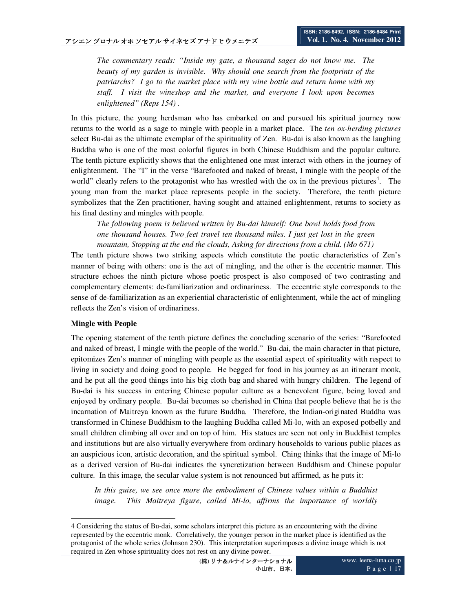*The commentary reads: "Inside my gate, a thousand sages do not know me. The beauty of my garden is invisible. Why should one search from the footprints of the patriarchs? I go to the market place with my wine bottle and return home with my staff. I visit the wineshop and the market, and everyone I look upon becomes enlightened" (Reps 154) .* 

In this picture, the young herdsman who has embarked on and pursued his spiritual journey now returns to the world as a sage to mingle with people in a market place. The *ten ox-herding pictures* select Bu-dai as the ultimate exemplar of the spirituality of Zen. Bu-dai is also known as the laughing Buddha who is one of the most colorful figures in both Chinese Buddhism and the popular culture. The tenth picture explicitly shows that the enlightened one must interact with others in the journey of enlightenment. The "I" in the verse "Barefooted and naked of breast, I mingle with the people of the world" clearly refers to the protagonist who has wrestled with the ox in the previous pictures<sup>4</sup>. The young man from the market place represents people in the society. Therefore, the tenth picture symbolizes that the Zen practitioner, having sought and attained enlightenment, returns to society as his final destiny and mingles with people.

*The following poem is believed written by Bu-dai himself: One bowl holds food from one thousand houses. Two feet travel ten thousand miles. I just get lost in the green mountain, Stopping at the end the clouds, Asking for directions from a child. (Mo 671)* 

The tenth picture shows two striking aspects which constitute the poetic characteristics of Zen's manner of being with others: one is the act of mingling, and the other is the eccentric manner. This structure echoes the ninth picture whose poetic prospect is also composed of two contrasting and complementary elements: de-familiarization and ordinariness. The eccentric style corresponds to the sense of de-familiarization as an experiential characteristic of enlightenment, while the act of mingling reflects the Zen's vision of ordinariness.

#### **Mingle with People**

The opening statement of the tenth picture defines the concluding scenario of the series: "Barefooted and naked of breast, I mingle with the people of the world." Bu-dai, the main character in that picture, epitomizes Zen's manner of mingling with people as the essential aspect of spirituality with respect to living in society and doing good to people. He begged for food in his journey as an itinerant monk, and he put all the good things into his big cloth bag and shared with hungry children. The legend of Bu-dai is his success in entering Chinese popular culture as a benevolent figure, being loved and enjoyed by ordinary people. Bu-dai becomes so cherished in China that people believe that he is the incarnation of Maitreya known as the future Buddha. Therefore, the Indian-originated Buddha was transformed in Chinese Buddhism to the laughing Buddha called Mi-lo, with an exposed potbelly and small children climbing all over and on top of him. His statues are seen not only in Buddhist temples and institutions but are also virtually everywhere from ordinary households to various public places as an auspicious icon, artistic decoration, and the spiritual symbol. Ching thinks that the image of Mi-lo as a derived version of Bu-dai indicates the syncretization between Buddhism and Chinese popular culture. In this image, the secular value system is not renounced but affirmed, as he puts it:

*In this guise, we see once more the embodiment of Chinese values within a Buddhist image.* This Maitreya figure, called Mi-lo, affirms the importance of worldly

 $\overline{a}$ 4 Considering the status of Bu-dai, some scholars interpret this picture as an encountering with the divine represented by the eccentric monk. Correlatively, the younger person in the market place is identified as the protagonist of the whole series (Johnson 230). This interpretation superimposes a divine image which is not required in Zen whose spirituality does not rest on any divine power.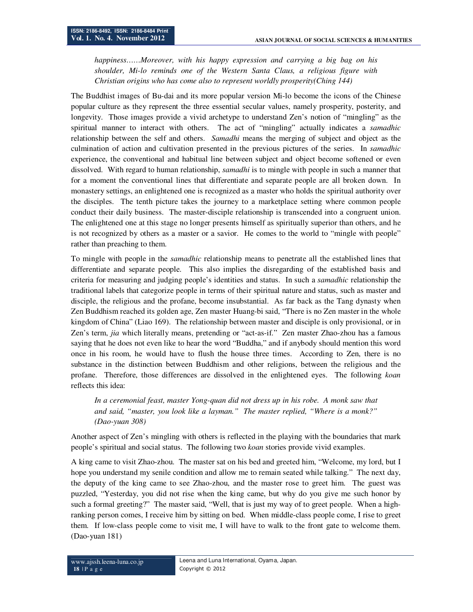*happiness……Moreover, with his happy expression and carrying a big bag on his shoulder, Mi-lo reminds one of the Western Santa Claus, a religious figure with Christian origins who has come also to represent worldly prosperity(Ching 144)* 

The Buddhist images of Bu-dai and its more popular version Mi-lo become the icons of the Chinese popular culture as they represent the three essential secular values, namely prosperity, posterity, and longevity. Those images provide a vivid archetype to understand Zen's notion of "mingling" as the spiritual manner to interact with others. The act of "mingling" actually indicates a *samadhic* relationship between the self and others. *Samadhi* means the merging of subject and object as the culmination of action and cultivation presented in the previous pictures of the series. In *samadhic* experience, the conventional and habitual line between subject and object become softened or even dissolved. With regard to human relationship, *samadhi* is to mingle with people in such a manner that for a moment the conventional lines that differentiate and separate people are all broken down. In monastery settings, an enlightened one is recognized as a master who holds the spiritual authority over the disciples. The tenth picture takes the journey to a marketplace setting where common people conduct their daily business. The master-disciple relationship is transcended into a congruent union. The enlightened one at this stage no longer presents himself as spiritually superior than others, and he is not recognized by others as a master or a savior. He comes to the world to "mingle with people" rather than preaching to them.

To mingle with people in the *samadhic* relationship means to penetrate all the established lines that differentiate and separate people. This also implies the disregarding of the established basis and criteria for measuring and judging people's identities and status. In such a *samadhic* relationship the traditional labels that categorize people in terms of their spiritual nature and status, such as master and disciple, the religious and the profane, become insubstantial. As far back as the Tang dynasty when Zen Buddhism reached its golden age, Zen master Huang-bi said, "There is no Zen master in the whole kingdom of China" (Liao 169). The relationship between master and disciple is only provisional, or in Zen's term, *jia* which literally means, pretending or "act-as-if." Zen master Zhao-zhou has a famous saying that he does not even like to hear the word "Buddha," and if anybody should mention this word once in his room, he would have to flush the house three times. According to Zen, there is no substance in the distinction between Buddhism and other religions, between the religious and the profane. Therefore, those differences are dissolved in the enlightened eyes. The following *koan* reflects this idea:

*In a ceremonial feast, master Yong-quan did not dress up in his robe. A monk saw that and said, "master, you look like a layman." The master replied, "Where is a monk?" (Dao-yuan 308)* 

Another aspect of Zen's mingling with others is reflected in the playing with the boundaries that mark people's spiritual and social status. The following two *koan* stories provide vivid examples.

A king came to visit Zhao-zhou. The master sat on his bed and greeted him, "Welcome, my lord, but I hope you understand my senile condition and allow me to remain seated while talking." The next day, the deputy of the king came to see Zhao-zhou, and the master rose to greet him. The guest was puzzled, "Yesterday, you did not rise when the king came, but why do you give me such honor by such a formal greeting?" The master said, "Well, that is just my way of to greet people. When a highranking person comes, I receive him by sitting on bed. When middle-class people come, I rise to greet them. If low-class people come to visit me, I will have to walk to the front gate to welcome them. (Dao-yuan 181)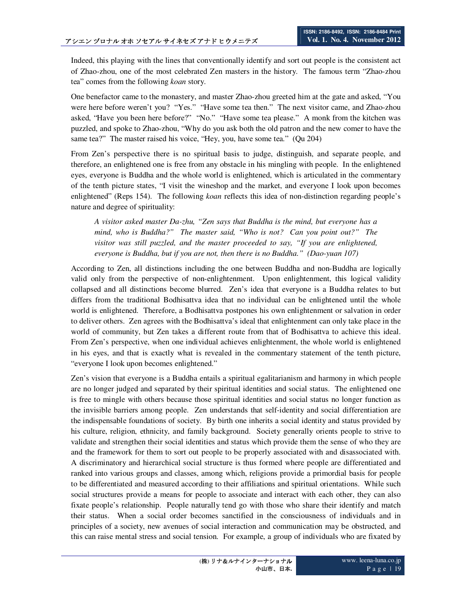Indeed, this playing with the lines that conventionally identify and sort out people is the consistent act of Zhao-zhou, one of the most celebrated Zen masters in the history. The famous term "Zhao-zhou tea" comes from the following *koan* story.

One benefactor came to the monastery, and master Zhao-zhou greeted him at the gate and asked, "You were here before weren't you? "Yes." "Have some tea then." The next visitor came, and Zhao-zhou asked, "Have you been here before?" "No." "Have some tea please." A monk from the kitchen was puzzled, and spoke to Zhao-zhou, "Why do you ask both the old patron and the new comer to have the same tea?" The master raised his voice, "Hey, you, have some tea." (Qu 204)

From Zen's perspective there is no spiritual basis to judge, distinguish, and separate people, and therefore, an enlightened one is free from any obstacle in his mingling with people. In the enlightened eyes, everyone is Buddha and the whole world is enlightened, which is articulated in the commentary of the tenth picture states, "I visit the wineshop and the market, and everyone I look upon becomes enlightened" (Reps 154). The following *koan* reflects this idea of non-distinction regarding people's nature and degree of spirituality:

*A visitor asked master Da-zhu, "Zen says that Buddha is the mind, but everyone has a mind, who is Buddha?" The master said, "Who is not? Can you point out?" The visitor was still puzzled, and the master proceeded to say, "If you are enlightened, everyone is Buddha, but if you are not, then there is no Buddha." (Dao-yuan 107)* 

According to Zen, all distinctions including the one between Buddha and non-Buddha are logically valid only from the perspective of non-enlightenment. Upon enlightenment, this logical validity collapsed and all distinctions become blurred. Zen's idea that everyone is a Buddha relates to but differs from the traditional Bodhisattva idea that no individual can be enlightened until the whole world is enlightened. Therefore, a Bodhisattva postpones his own enlightenment or salvation in order to deliver others. Zen agrees with the Bodhisattva's ideal that enlightenment can only take place in the world of community, but Zen takes a different route from that of Bodhisattva to achieve this ideal. From Zen's perspective, when one individual achieves enlightenment, the whole world is enlightened in his eyes, and that is exactly what is revealed in the commentary statement of the tenth picture, "everyone I look upon becomes enlightened."

Zen's vision that everyone is a Buddha entails a spiritual egalitarianism and harmony in which people are no longer judged and separated by their spiritual identities and social status. The enlightened one is free to mingle with others because those spiritual identities and social status no longer function as the invisible barriers among people. Zen understands that self-identity and social differentiation are the indispensable foundations of society. By birth one inherits a social identity and status provided by his culture, religion, ethnicity, and family background. Society generally orients people to strive to validate and strengthen their social identities and status which provide them the sense of who they are and the framework for them to sort out people to be properly associated with and disassociated with. A discriminatory and hierarchical social structure is thus formed where people are differentiated and ranked into various groups and classes, among which, religions provide a primordial basis for people to be differentiated and measured according to their affiliations and spiritual orientations. While such social structures provide a means for people to associate and interact with each other, they can also fixate people's relationship. People naturally tend go with those who share their identify and match their status. When a social order becomes sanctified in the consciousness of individuals and in principles of a society, new avenues of social interaction and communication may be obstructed, and this can raise mental stress and social tension. For example, a group of individuals who are fixated by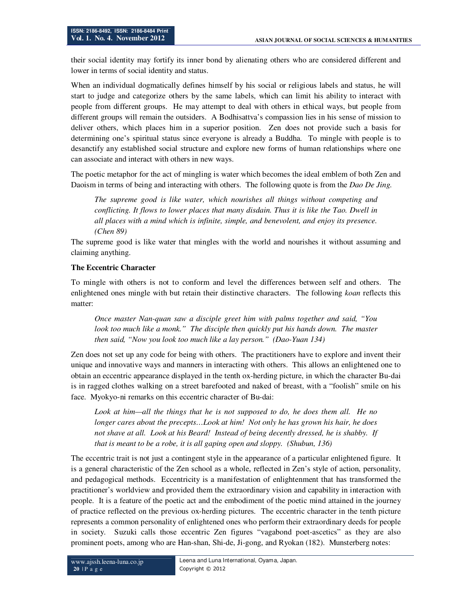their social identity may fortify its inner bond by alienating others who are considered different and lower in terms of social identity and status.

When an individual dogmatically defines himself by his social or religious labels and status, he will start to judge and categorize others by the same labels, which can limit his ability to interact with people from different groups. He may attempt to deal with others in ethical ways, but people from different groups will remain the outsiders. A Bodhisattva's compassion lies in his sense of mission to deliver others, which places him in a superior position. Zen does not provide such a basis for determining one's spiritual status since everyone is already a Buddha. To mingle with people is to desanctify any established social structure and explore new forms of human relationships where one can associate and interact with others in new ways.

The poetic metaphor for the act of mingling is water which becomes the ideal emblem of both Zen and Daoism in terms of being and interacting with others. The following quote is from the *Dao De Jing.*

*The supreme good is like water, which nourishes all things without competing and conflicting. It flows to lower places that many disdain. Thus it is like the Tao. Dwell in all places with a mind which is infinite, simple, and benevolent, and enjoy its presence. (Chen 89)* 

The supreme good is like water that mingles with the world and nourishes it without assuming and claiming anything.

#### **The Eccentric Character**

To mingle with others is not to conform and level the differences between self and others. The enlightened ones mingle with but retain their distinctive characters. The following *koan* reflects this matter:

*Once master Nan-quan saw a disciple greet him with palms together and said, "You look too much like a monk.*" The disciple then quickly put his hands down. The master *then said, "Now you look too much like a lay person." (Dao-Yuan 134)* 

Zen does not set up any code for being with others. The practitioners have to explore and invent their unique and innovative ways and manners in interacting with others. This allows an enlightened one to obtain an eccentric appearance displayed in the tenth ox-herding picture, in which the character Bu-dai is in ragged clothes walking on a street barefooted and naked of breast, with a "foolish" smile on his face. Myokyo-ni remarks on this eccentric character of Bu-dai:

*Look at him—all the things that he is not supposed to do, he does them all. He no longer cares about the precepts…Look at him! Not only he has grown his hair, he does not shave at all. Look at his Beard! Instead of being decently dressed, he is shabby. If that is meant to be a robe, it is all gaping open and sloppy. (Shubun, 136)* 

The eccentric trait is not just a contingent style in the appearance of a particular enlightened figure. It is a general characteristic of the Zen school as a whole, reflected in Zen's style of action, personality, and pedagogical methods. Eccentricity is a manifestation of enlightenment that has transformed the practitioner's worldview and provided them the extraordinary vision and capability in interaction with people. It is a feature of the poetic act and the embodiment of the poetic mind attained in the journey of practice reflected on the previous ox-herding pictures. The eccentric character in the tenth picture represents a common personality of enlightened ones who perform their extraordinary deeds for people in society. Suzuki calls those eccentric Zen figures "vagabond poet-ascetics" as they are also prominent poets, among who are Han-shan, Shi-de, Ji-gong, and Ryokan (182). Munsterberg notes: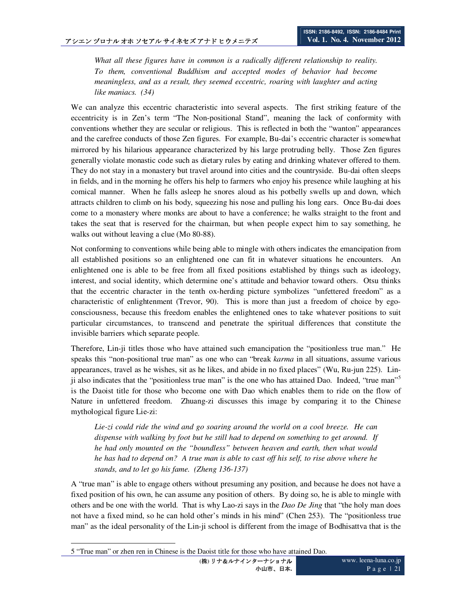*What all these figures have in common is a radically different relationship to reality. To them, conventional Buddhism and accepted modes of behavior had become meaningless, and as a result, they seemed eccentric, roaring with laughter and acting like maniacs. (34)* 

We can analyze this eccentric characteristic into several aspects. The first striking feature of the eccentricity is in Zen's term "The Non-positional Stand", meaning the lack of conformity with conventions whether they are secular or religious. This is reflected in both the "wanton" appearances and the carefree conducts of those Zen figures. For example, Bu-dai's eccentric character is somewhat mirrored by his hilarious appearance characterized by his large protruding belly. Those Zen figures generally violate monastic code such as dietary rules by eating and drinking whatever offered to them. They do not stay in a monastery but travel around into cities and the countryside. Bu-dai often sleeps in fields, and in the morning he offers his help to farmers who enjoy his presence while laughing at his comical manner. When he falls asleep he snores aloud as his potbelly swells up and down, which attracts children to climb on his body, squeezing his nose and pulling his long ears. Once Bu-dai does come to a monastery where monks are about to have a conference; he walks straight to the front and takes the seat that is reserved for the chairman, but when people expect him to say something, he walks out without leaving a clue (Mo 80-88).

Not conforming to conventions while being able to mingle with others indicates the emancipation from all established positions so an enlightened one can fit in whatever situations he encounters. An enlightened one is able to be free from all fixed positions established by things such as ideology, interest, and social identity, which determine one's attitude and behavior toward others. Otsu thinks that the eccentric character in the tenth ox-herding picture symbolizes "unfettered freedom" as a characteristic of enlightenment (Trevor, 90). This is more than just a freedom of choice by egoconsciousness, because this freedom enables the enlightened ones to take whatever positions to suit particular circumstances, to transcend and penetrate the spiritual differences that constitute the invisible barriers which separate people.

Therefore, Lin-ji titles those who have attained such emancipation the "positionless true man." He speaks this "non-positional true man" as one who can "break *karma* in all situations, assume various appearances, travel as he wishes, sit as he likes, and abide in no fixed places" (Wu, Ru-jun 225). Linji also indicates that the "positionless true man" is the one who has attained Dao. Indeed, "true man"<sup>5</sup> is the Daoist title for those who become one with Dao which enables them to ride on the flow of Nature in unfettered freedom. Zhuang-zi discusses this image by comparing it to the Chinese mythological figure Lie-zi:

*Lie-zi could ride the wind and go soaring around the world on a cool breeze. He can dispense with walking by foot but he still had to depend on something to get around. If he had only mounted on the "boundless" between heaven and earth, then what would he has had to depend on? A true man is able to cast off his self, to rise above where he stands, and to let go his fame. (Zheng 136-137)* 

A "true man" is able to engage others without presuming any position, and because he does not have a fixed position of his own, he can assume any position of others. By doing so, he is able to mingle with others and be one with the world. That is why Lao-zi says in the *Dao De Jing* that "the holy man does not have a fixed mind, so he can hold other's minds in his mind" (Chen 253). The "positionless true man" as the ideal personality of the Lin-ji school is different from the image of Bodhisattva that is the

 $\overline{a}$ 

<sup>5 &</sup>quot;True man" or zhen ren in Chinese is the Daoist title for those who have attained Dao.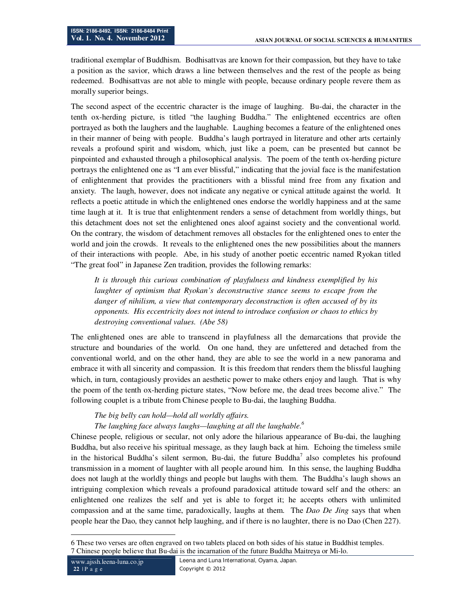traditional exemplar of Buddhism. Bodhisattvas are known for their compassion, but they have to take a position as the savior, which draws a line between themselves and the rest of the people as being redeemed. Bodhisattvas are not able to mingle with people, because ordinary people revere them as morally superior beings.

The second aspect of the eccentric character is the image of laughing. Bu-dai, the character in the tenth ox-herding picture, is titled "the laughing Buddha." The enlightened eccentrics are often portrayed as both the laughers and the laughable. Laughing becomes a feature of the enlightened ones in their manner of being with people. Buddha's laugh portrayed in literature and other arts certainly reveals a profound spirit and wisdom, which, just like a poem, can be presented but cannot be pinpointed and exhausted through a philosophical analysis. The poem of the tenth ox-herding picture portrays the enlightened one as "I am ever blissful," indicating that the jovial face is the manifestation of enlightenment that provides the practitioners with a blissful mind free from any fixation and anxiety. The laugh, however, does not indicate any negative or cynical attitude against the world. It reflects a poetic attitude in which the enlightened ones endorse the worldly happiness and at the same time laugh at it. It is true that enlightenment renders a sense of detachment from worldly things, but this detachment does not set the enlightened ones aloof against society and the conventional world. On the contrary, the wisdom of detachment removes all obstacles for the enlightened ones to enter the world and join the crowds. It reveals to the enlightened ones the new possibilities about the manners of their interactions with people. Abe, in his study of another poetic eccentric named Ryokan titled "The great fool" in Japanese Zen tradition, provides the following remarks:

*It is through this curious combination of playfulness and kindness exemplified by his laughter of optimism that Ryokan's deconstructive stance seems to escape from the danger of nihilism, a view that contemporary deconstruction is often accused of by its opponents. His eccentricity does not intend to introduce confusion or chaos to ethics by destroying conventional values. (Abe 58)* 

The enlightened ones are able to transcend in playfulness all the demarcations that provide the structure and boundaries of the world. On one hand, they are unfettered and detached from the conventional world, and on the other hand, they are able to see the world in a new panorama and embrace it with all sincerity and compassion. It is this freedom that renders them the blissful laughing which, in turn, contagiously provides an aesthetic power to make others enjoy and laugh. That is why the poem of the tenth ox-herding picture states, "Now before me, the dead trees become alive." The following couplet is a tribute from Chinese people to Bu-dai, the laughing Buddha.

#### *The big belly can hold—hold all worldly affairs.*

# *The laughing face always laughs—laughing at all the laughable.<sup>6</sup>*

Chinese people, religious or secular, not only adore the hilarious appearance of Bu-dai, the laughing Buddha, but also receive his spiritual message, as they laugh back at him. Echoing the timeless smile in the historical Buddha's silent sermon, Bu-dai, the future Buddha<sup>7</sup> also completes his profound transmission in a moment of laughter with all people around him. In this sense, the laughing Buddha does not laugh at the worldly things and people but laughs with them. The Buddha's laugh shows an intriguing complexion which reveals a profound paradoxical attitude toward self and the others: an enlightened one realizes the self and yet is able to forget it; he accepts others with unlimited compassion and at the same time, paradoxically, laughs at them. The *Dao De Jing* says that when people hear the Dao, they cannot help laughing, and if there is no laughter, there is no Dao (Chen 227).

 $\ddot{\phantom{a}}$ 6 These two verses are often engraved on two tablets placed on both sides of his statue in Buddhist temples. 7 Chinese people believe that Bu-dai is the incarnation of the future Buddha Maitreya or Mi-lo.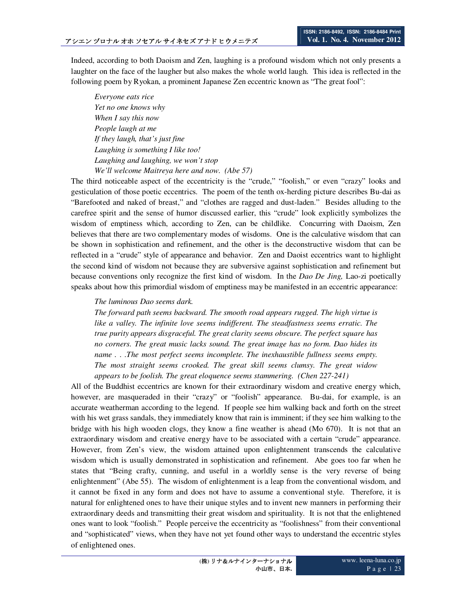Indeed, according to both Daoism and Zen, laughing is a profound wisdom which not only presents a laughter on the face of the laugher but also makes the whole world laugh. This idea is reflected in the following poem by Ryokan, a prominent Japanese Zen eccentric known as "The great fool":

*Everyone eats rice Yet no one knows why When I say this now People laugh at me If they laugh, that's just fine Laughing is something I like too! Laughing and laughing, we won't stop We'll welcome Maitreya here and now. (Abe 57)* 

The third noticeable aspect of the eccentricity is the "crude," "foolish," or even "crazy" looks and gesticulation of those poetic eccentrics. The poem of the tenth ox-herding picture describes Bu-dai as "Barefooted and naked of breast," and "clothes are ragged and dust-laden." Besides alluding to the carefree spirit and the sense of humor discussed earlier, this "crude" look explicitly symbolizes the wisdom of emptiness which, according to Zen, can be childlike. Concurring with Daoism, Zen believes that there are two complementary modes of wisdoms. One is the calculative wisdom that can be shown in sophistication and refinement, and the other is the deconstructive wisdom that can be reflected in a "crude" style of appearance and behavior. Zen and Daoist eccentrics want to highlight the second kind of wisdom not because they are subversive against sophistication and refinement but because conventions only recognize the first kind of wisdom. In the *Dao De Jing,* Lao-zi poetically speaks about how this primordial wisdom of emptiness may be manifested in an eccentric appearance:

#### *The luminous Dao seems dark.*

*The forward path seems backward. The smooth road appears rugged. The high virtue is*  like a valley. The infinite love seems indifferent. The steadfastness seems erratic. The *true purity appears disgraceful. The great clarity seems obscure. The perfect square has no corners. The great music lacks sound. The great image has no form. Dao hides its name ... The most perfect seems incomplete. The inexhaustible fullness seems empty. The most straight seems crooked. The great skill seems clumsy. The great widow appears to be foolish. The great eloquence seems stammering. (Chen 227-241)* 

All of the Buddhist eccentrics are known for their extraordinary wisdom and creative energy which, however, are masqueraded in their "crazy" or "foolish" appearance. Bu-dai, for example, is an accurate weatherman according to the legend. If people see him walking back and forth on the street with his wet grass sandals, they immediately know that rain is imminent; if they see him walking to the bridge with his high wooden clogs, they know a fine weather is ahead (Mo 670). It is not that an extraordinary wisdom and creative energy have to be associated with a certain "crude" appearance. However, from Zen's view, the wisdom attained upon enlightenment transcends the calculative wisdom which is usually demonstrated in sophistication and refinement. Abe goes too far when he states that "Being crafty, cunning, and useful in a worldly sense is the very reverse of being enlightenment" (Abe 55). The wisdom of enlightenment is a leap from the conventional wisdom, and it cannot be fixed in any form and does not have to assume a conventional style. Therefore, it is natural for enlightened ones to have their unique styles and to invent new manners in performing their extraordinary deeds and transmitting their great wisdom and spirituality. It is not that the enlightened ones want to look "foolish." People perceive the eccentricity as "foolishness" from their conventional and "sophisticated" views, when they have not yet found other ways to understand the eccentric styles of enlightened ones.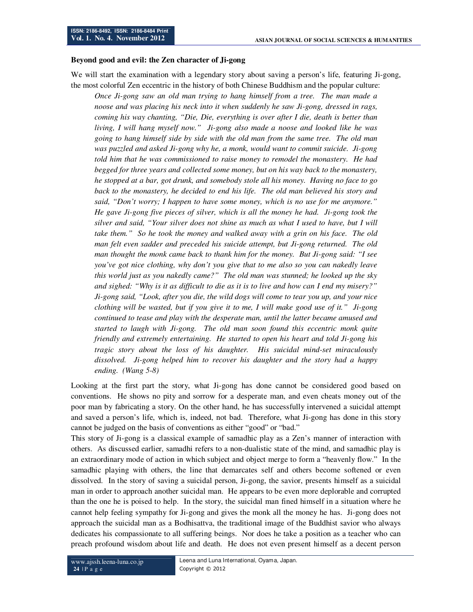#### **Beyond good and evil: the Zen character of Ji-gong**

We will start the examination with a legendary story about saving a person's life, featuring Ji-gong, the most colorful Zen eccentric in the history of both Chinese Buddhism and the popular culture:

*Once Ji-gong saw an old man trying to hang himself from a tree. The man made a noose and was placing his neck into it when suddenly he saw Ji-gong, dressed in rags, coming his way chanting, "Die, Die, everything is over after I die, death is better than living, I will hang myself now." Ji-gong also made a noose and looked like he was going to hang himself side by side with the old man from the same tree. The old man was puzzled and asked Ji-gong why he, a monk, would want to commit suicide. Ji-gong told him that he was commissioned to raise money to remodel the monastery. He had begged for three years and collected some money, but on his way back to the monastery, he stopped at a bar, got drunk, and somebody stole all his money. Having no face to go back to the monastery, he decided to end his life. The old man believed his story and said, "Don't worry; I happen to have some money, which is no use for me anymore." He gave Ji-gong five pieces of silver, which is all the money he had. Ji-gong took the silver and said, "Your silver does not shine as much as what I used to have, but I will take them." So he took the money and walked away with a grin on his face. The old man felt even sadder and preceded his suicide attempt, but Ji-gong returned. The old man thought the monk came back to thank him for the money. But Ji-gong said: "I see you've got nice clothing, why don't you give that to me also so you can nakedly leave this world just as you nakedly came?" The old man was stunned; he looked up the sky and sighed: "Why is it as difficult to die as it is to live and how can I end my misery?" Ji-gong said, "Look, after you die, the wild dogs will come to tear you up, and your nice clothing will be wasted, but if you give it to me, I will make good use of it." Ji-gong continued to tease and play with the desperate man, until the latter became amused and started to laugh with Ji-gong. The old man soon found this eccentric monk quite friendly and extremely entertaining. He started to open his heart and told Ji-gong his tragic story about the loss of his daughter. His suicidal mind-set miraculously dissolved. Ji-gong helped him to recover his daughter and the story had a happy ending. (Wang 5-8)* 

Looking at the first part the story, what Ji-gong has done cannot be considered good based on conventions. He shows no pity and sorrow for a desperate man, and even cheats money out of the poor man by fabricating a story. On the other hand, he has successfully intervened a suicidal attempt and saved a person's life, which is, indeed, not bad. Therefore, what Ji-gong has done in this story cannot be judged on the basis of conventions as either "good" or "bad."

This story of Ji-gong is a classical example of samadhic play as a Zen's manner of interaction with others. As discussed earlier, samadhi refers to a non-dualistic state of the mind, and samadhic play is an extraordinary mode of action in which subject and object merge to form a "heavenly flow." In the samadhic playing with others, the line that demarcates self and others become softened or even dissolved. In the story of saving a suicidal person, Ji-gong, the savior, presents himself as a suicidal man in order to approach another suicidal man. He appears to be even more deplorable and corrupted than the one he is poised to help. In the story, the suicidal man fined himself in a situation where he cannot help feeling sympathy for Ji-gong and gives the monk all the money he has. Ji-gong does not approach the suicidal man as a Bodhisattva, the traditional image of the Buddhist savior who always dedicates his compassionate to all suffering beings. Nor does he take a position as a teacher who can preach profound wisdom about life and death. He does not even present himself as a decent person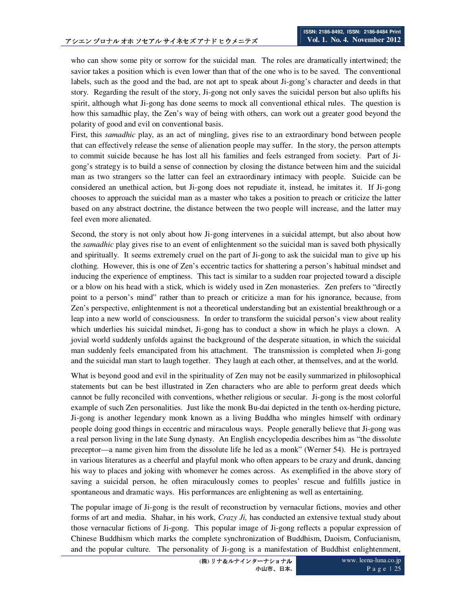who can show some pity or sorrow for the suicidal man. The roles are dramatically intertwined; the savior takes a position which is even lower than that of the one who is to be saved. The conventional labels, such as the good and the bad, are not apt to speak about Ji-gong's character and deeds in that story. Regarding the result of the story, Ji-gong not only saves the suicidal person but also uplifts his spirit, although what Ji-gong has done seems to mock all conventional ethical rules. The question is how this samadhic play, the Zen's way of being with others, can work out a greater good beyond the polarity of good and evil on conventional basis.

First, this *samadhic* play, as an act of mingling, gives rise to an extraordinary bond between people that can effectively release the sense of alienation people may suffer. In the story, the person attempts to commit suicide because he has lost all his families and feels estranged from society. Part of Jigong's strategy is to build a sense of connection by closing the distance between him and the suicidal man as two strangers so the latter can feel an extraordinary intimacy with people. Suicide can be considered an unethical action, but Ji-gong does not repudiate it, instead, he imitates it. If Ji-gong chooses to approach the suicidal man as a master who takes a position to preach or criticize the latter based on any abstract doctrine, the distance between the two people will increase, and the latter may feel even more alienated.

Second, the story is not only about how Ji-gong intervenes in a suicidal attempt, but also about how the *samadhic* play gives rise to an event of enlightenment so the suicidal man is saved both physically and spiritually. It seems extremely cruel on the part of Ji-gong to ask the suicidal man to give up his clothing. However, this is one of Zen's eccentric tactics for shattering a person's habitual mindset and inducing the experience of emptiness. This tact is similar to a sudden roar projected toward a disciple or a blow on his head with a stick, which is widely used in Zen monasteries. Zen prefers to "directly point to a person's mind" rather than to preach or criticize a man for his ignorance, because, from Zen's perspective, enlightenment is not a theoretical understanding but an existential breakthrough or a leap into a new world of consciousness. In order to transform the suicidal person's view about reality which underlies his suicidal mindset, Ji-gong has to conduct a show in which he plays a clown. A jovial world suddenly unfolds against the background of the desperate situation, in which the suicidal man suddenly feels emancipated from his attachment. The transmission is completed when Ji-gong and the suicidal man start to laugh together. They laugh at each other, at themselves, and at the world.

What is beyond good and evil in the spirituality of Zen may not be easily summarized in philosophical statements but can be best illustrated in Zen characters who are able to perform great deeds which cannot be fully reconciled with conventions, whether religious or secular. Ji-gong is the most colorful example of such Zen personalities. Just like the monk Bu-dai depicted in the tenth ox-herding picture, Ji-gong is another legendary monk known as a living Buddha who mingles himself with ordinary people doing good things in eccentric and miraculous ways. People generally believe that Ji-gong was a real person living in the late Sung dynasty. An English encyclopedia describes him as "the dissolute preceptor—a name given him from the dissolute life he led as a monk" (Werner 54). He is portrayed in various literatures as a cheerful and playful monk who often appears to be crazy and drunk, dancing his way to places and joking with whomever he comes across. As exemplified in the above story of saving a suicidal person, he often miraculously comes to peoples' rescue and fulfills justice in spontaneous and dramatic ways. His performances are enlightening as well as entertaining.

The popular image of Ji-gong is the result of reconstruction by vernacular fictions, movies and other forms of art and media. Shahar, in his work, *Crazy Ji,* has conducted an extensive textual study about those vernacular fictions of Ji-gong. This popular image of Ji-gong reflects a popular expression of Chinese Buddhism which marks the complete synchronization of Buddhism, Daoism, Confucianism, and the popular culture. The personality of Ji-gong is a manifestation of Buddhist enlightenment,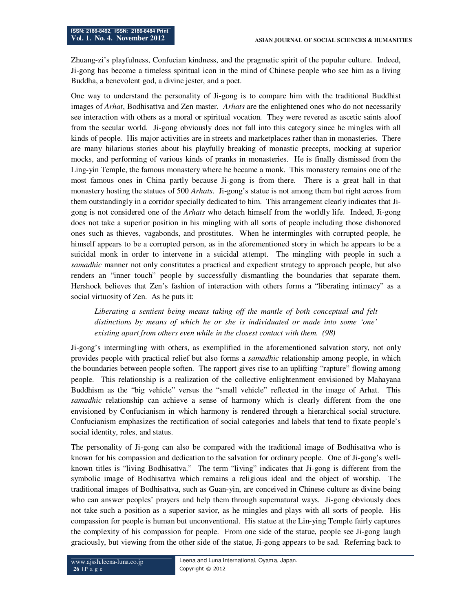Zhuang-zi's playfulness, Confucian kindness, and the pragmatic spirit of the popular culture. Indeed, Ji-gong has become a timeless spiritual icon in the mind of Chinese people who see him as a living Buddha, a benevolent god, a divine jester, and a poet.

One way to understand the personality of Ji-gong is to compare him with the traditional Buddhist images of *Arhat*, Bodhisattva and Zen master. *Arhats* are the enlightened ones who do not necessarily see interaction with others as a moral or spiritual vocation. They were revered as ascetic saints aloof from the secular world. Ji-gong obviously does not fall into this category since he mingles with all kinds of people. His major activities are in streets and marketplaces rather than in monasteries. There are many hilarious stories about his playfully breaking of monastic precepts, mocking at superior mocks, and performing of various kinds of pranks in monasteries. He is finally dismissed from the Ling-yin Temple, the famous monastery where he became a monk. This monastery remains one of the most famous ones in China partly because Ji-gong is from there. There is a great hall in that monastery hosting the statues of 500 *Arhats*. Ji-gong's statue is not among them but right across from them outstandingly in a corridor specially dedicated to him. This arrangement clearly indicates that Jigong is not considered one of the *Arhats* who detach himself from the worldly life. Indeed, Ji-gong does not take a superior position in his mingling with all sorts of people including those dishonored ones such as thieves, vagabonds, and prostitutes. When he intermingles with corrupted people, he himself appears to be a corrupted person, as in the aforementioned story in which he appears to be a suicidal monk in order to intervene in a suicidal attempt. The mingling with people in such a *samadhic* manner not only constitutes a practical and expedient strategy to approach people, but also renders an "inner touch" people by successfully dismantling the boundaries that separate them. Hershock believes that Zen's fashion of interaction with others forms a "liberating intimacy" as a social virtuosity of Zen. As he puts it:

*Liberating a sentient being means taking off the mantle of both conceptual and felt distinctions by means of which he or she is individuated or made into some 'one' existing apart from others even while in the closest contact with them. (98)* 

Ji-gong's intermingling with others, as exemplified in the aforementioned salvation story, not only provides people with practical relief but also forms a *samadhic* relationship among people, in which the boundaries between people soften. The rapport gives rise to an uplifting "rapture" flowing among people. This relationship is a realization of the collective enlightenment envisioned by Mahayana Buddhism as the "big vehicle" versus the "small vehicle" reflected in the image of Arhat. This *samadhic* relationship can achieve a sense of harmony which is clearly different from the one envisioned by Confucianism in which harmony is rendered through a hierarchical social structure. Confucianism emphasizes the rectification of social categories and labels that tend to fixate people's social identity, roles, and status.

The personality of Ji-gong can also be compared with the traditional image of Bodhisattva who is known for his compassion and dedication to the salvation for ordinary people. One of Ji-gong's wellknown titles is "living Bodhisattva." The term "living" indicates that Ji-gong is different from the symbolic image of Bodhisattva which remains a religious ideal and the object of worship. The traditional images of Bodhisattva, such as Guan-yin, are conceived in Chinese culture as divine being who can answer peoples' prayers and help them through supernatural ways. Ji-gong obviously does not take such a position as a superior savior, as he mingles and plays with all sorts of people. His compassion for people is human but unconventional. His statue at the Lin-ying Temple fairly captures the complexity of his compassion for people. From one side of the statue, people see Ji-gong laugh graciously, but viewing from the other side of the statue, Ji-gong appears to be sad. Referring back to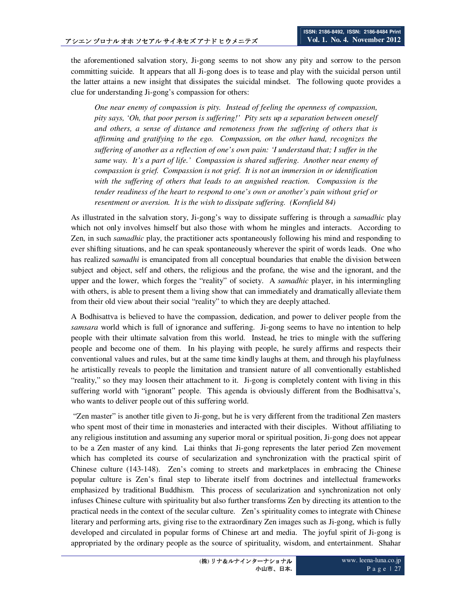the aforementioned salvation story, Ji-gong seems to not show any pity and sorrow to the person committing suicide. It appears that all Ji-gong does is to tease and play with the suicidal person until the latter attains a new insight that dissipates the suicidal mindset. The following quote provides a clue for understanding Ji-gong's compassion for others:

*One near enemy of compassion is pity. Instead of feeling the openness of compassion, pity says, 'Oh, that poor person is suffering!' Pity sets up a separation between oneself and others, a sense of distance and remoteness from the suffering of others that is affirming and gratifying to the ego. Compassion, on the other hand, recognizes the suffering of another as a reflection of one's own pain: 'I understand that; I suffer in the same way. It's a part of life.' Compassion is shared suffering. Another near enemy of compassion is grief. Compassion is not grief. It is not an immersion in or identification with the suffering of others that leads to an anguished reaction. Compassion is the tender readiness of the heart to respond to one's own or another's pain without grief or resentment or aversion. It is the wish to dissipate suffering. (Kornfield 84)* 

As illustrated in the salvation story, Ji-gong's way to dissipate suffering is through a *samadhic* play which not only involves himself but also those with whom he mingles and interacts. According to Zen, in such *samadhic* play, the practitioner acts spontaneously following his mind and responding to ever shifting situations, and he can speak spontaneously wherever the spirit of words leads. One who has realized s*amadhi* is emancipated from all conceptual boundaries that enable the division between subject and object, self and others, the religious and the profane, the wise and the ignorant, and the upper and the lower, which forges the "reality" of society. A *samadhic* player, in his intermingling with others, is able to present them a living show that can immediately and dramatically alleviate them from their old view about their social "reality" to which they are deeply attached.

A Bodhisattva is believed to have the compassion, dedication, and power to deliver people from the *samsara* world which is full of ignorance and suffering. Ji-gong seems to have no intention to help people with their ultimate salvation from this world. Instead, he tries to mingle with the suffering people and become one of them. In his playing with people, he surely affirms and respects their conventional values and rules, but at the same time kindly laughs at them, and through his playfulness he artistically reveals to people the limitation and transient nature of all conventionally established "reality," so they may loosen their attachment to it. Ji-gong is completely content with living in this suffering world with "ignorant" people. This agenda is obviously different from the Bodhisattva's, who wants to deliver people out of this suffering world.

 "Zen master" is another title given to Ji-gong, but he is very different from the traditional Zen masters who spent most of their time in monasteries and interacted with their disciples. Without affiliating to any religious institution and assuming any superior moral or spiritual position, Ji-gong does not appear to be a Zen master of any kind. Lai thinks that Ji-gong represents the later period Zen movement which has completed its course of secularization and synchronization with the practical spirit of Chinese culture (143-148). Zen's coming to streets and marketplaces in embracing the Chinese popular culture is Zen's final step to liberate itself from doctrines and intellectual frameworks emphasized by traditional Buddhism. This process of secularization and synchronization not only infuses Chinese culture with spirituality but also further transforms Zen by directing its attention to the practical needs in the context of the secular culture. Zen's spirituality comes to integrate with Chinese literary and performing arts, giving rise to the extraordinary Zen images such as Ji-gong, which is fully developed and circulated in popular forms of Chinese art and media. The joyful spirit of Ji-gong is appropriated by the ordinary people as the source of spirituality, wisdom, and entertainment. Shahar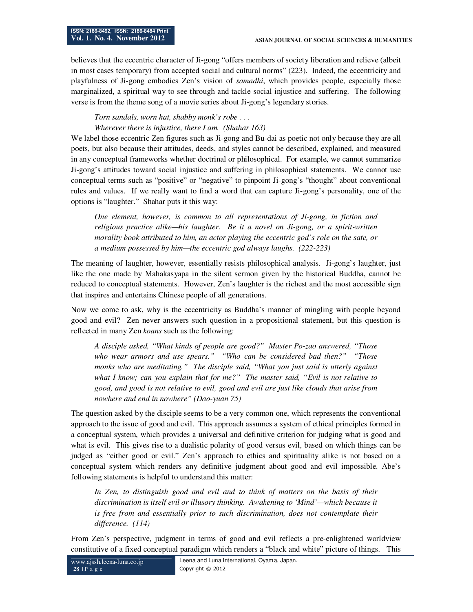believes that the eccentric character of Ji-gong "offers members of society liberation and relieve (albeit in most cases temporary) from accepted social and cultural norms" (223). Indeed, the eccentricity and playfulness of Ji-gong embodies Zen's vision of *samadhi*, which provides people, especially those marginalized, a spiritual way to see through and tackle social injustice and suffering. The following verse is from the theme song of a movie series about Ji-gong's legendary stories.

*Torn sandals, worn hat, shabby monk's robe . . .* 

*Wherever there is injustice, there I am. (Shahar 163)* 

We label those eccentric Zen figures such as Ji-gong and Bu-dai as poetic not only because they are all poets, but also because their attitudes, deeds, and styles cannot be described, explained, and measured in any conceptual frameworks whether doctrinal or philosophical. For example, we cannot summarize Ji-gong's attitudes toward social injustice and suffering in philosophical statements. We cannot use conceptual terms such as "positive" or "negative" to pinpoint Ji-gong's "thought" about conventional rules and values. If we really want to find a word that can capture Ji-gong's personality, one of the options is "laughter." Shahar puts it this way:

*One element, however, is common to all representations of Ji-gong, in fiction and religious practice alike—his laughter. Be it a novel on Ji-gong, or a spirit-written morality book attributed to him, an actor playing the eccentric god's role on the sate, or a medium possessed by him—the eccentric god always laughs. (222-223)* 

The meaning of laughter, however, essentially resists philosophical analysis. Ji-gong's laughter, just like the one made by Mahakasyapa in the silent sermon given by the historical Buddha, cannot be reduced to conceptual statements. However, Zen's laughter is the richest and the most accessible sign that inspires and entertains Chinese people of all generations.

Now we come to ask, why is the eccentricity as Buddha's manner of mingling with people beyond good and evil? Zen never answers such question in a propositional statement, but this question is reflected in many Zen *koans* such as the following:

*A disciple asked, "What kinds of people are good?" Master Po-zao answered, "Those who wear armors and use spears." "Who can be considered bad then?" "Those monks who are meditating." The disciple said, "What you just said is utterly against what I know; can you explain that for me?" The master said, "Evil is not relative to good, and good is not relative to evil, good and evil are just like clouds that arise from nowhere and end in nowhere" (Dao-yuan 75)* 

The question asked by the disciple seems to be a very common one, which represents the conventional approach to the issue of good and evil. This approach assumes a system of ethical principles formed in a conceptual system, which provides a universal and definitive criterion for judging what is good and what is evil. This gives rise to a dualistic polarity of good versus evil, based on which things can be judged as "either good or evil." Zen's approach to ethics and spirituality alike is not based on a conceptual system which renders any definitive judgment about good and evil impossible. Abe's following statements is helpful to understand this matter:

*In Zen, to distinguish good and evil and to think of matters on the basis of their discrimination is itself evil or illusory thinking. Awakening to 'Mind'—which because it is free from and essentially prior to such discrimination, does not contemplate their difference. (114)* 

From Zen's perspective, judgment in terms of good and evil reflects a pre-enlightened worldview constitutive of a fixed conceptual paradigm which renders a "black and white" picture of things. This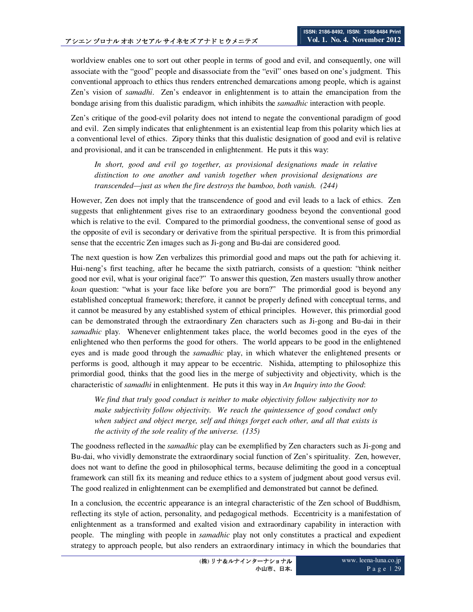worldview enables one to sort out other people in terms of good and evil, and consequently, one will associate with the "good" people and disassociate from the "evil" ones based on one's judgment. This conventional approach to ethics thus renders entrenched demarcations among people, which is against Zen's vision of *samadhi*. Zen's endeavor in enlightenment is to attain the emancipation from the bondage arising from this dualistic paradigm, which inhibits the *samadhic* interaction with people.

Zen's critique of the good-evil polarity does not intend to negate the conventional paradigm of good and evil. Zen simply indicates that enlightenment is an existential leap from this polarity which lies at a conventional level of ethics. Zipory thinks that this dualistic designation of good and evil is relative and provisional, and it can be transcended in enlightenment. He puts it this way:

In short, good and evil go together, as provisional designations made in relative *distinction to one another and vanish together when provisional designations are transcended—just as when the fire destroys the bamboo, both vanish. (244)* 

However, Zen does not imply that the transcendence of good and evil leads to a lack of ethics. Zen suggests that enlightenment gives rise to an extraordinary goodness beyond the conventional good which is relative to the evil. Compared to the primordial goodness, the conventional sense of good as the opposite of evil is secondary or derivative from the spiritual perspective. It is from this primordial sense that the eccentric Zen images such as Ji-gong and Bu-dai are considered good.

The next question is how Zen verbalizes this primordial good and maps out the path for achieving it. Hui-neng's first teaching, after he became the sixth patriarch, consists of a question: "think neither good nor evil, what is your original face?" To answer this question, Zen masters usually throw another *koan* question: "what is your face like before you are born?" The primordial good is beyond any established conceptual framework; therefore, it cannot be properly defined with conceptual terms, and it cannot be measured by any established system of ethical principles. However, this primordial good can be demonstrated through the extraordinary Zen characters such as Ji-gong and Bu-dai in their *samadhic* play. Whenever enlightenment takes place, the world becomes good in the eyes of the enlightened who then performs the good for others. The world appears to be good in the enlightened eyes and is made good through the *samadhic* play, in which whatever the enlightened presents or performs is good, although it may appear to be eccentric. Nishida, attempting to philosophize this primordial good, thinks that the good lies in the merge of subjectivity and objectivity, which is the characteristic of *samadhi* in enlightenment. He puts it this way in *An Inquiry into the Good*:

*We find that truly good conduct is neither to make objectivity follow subjectivity nor to make subjectivity follow objectivity. We reach the quintessence of good conduct only when subject and object merge, self and things forget each other, and all that exists is the activity of the sole reality of the universe. (135)* 

The goodness reflected in the *samadhic* play can be exemplified by Zen characters such as Ji-gong and Bu-dai, who vividly demonstrate the extraordinary social function of Zen's spirituality. Zen, however, does not want to define the good in philosophical terms, because delimiting the good in a conceptual framework can still fix its meaning and reduce ethics to a system of judgment about good versus evil. The good realized in enlightenment can be exemplified and demonstrated but cannot be defined.

In a conclusion, the eccentric appearance is an integral characteristic of the Zen school of Buddhism, reflecting its style of action, personality, and pedagogical methods. Eccentricity is a manifestation of enlightenment as a transformed and exalted vision and extraordinary capability in interaction with people. The mingling with people in *samadhic* play not only constitutes a practical and expedient strategy to approach people, but also renders an extraordinary intimacy in which the boundaries that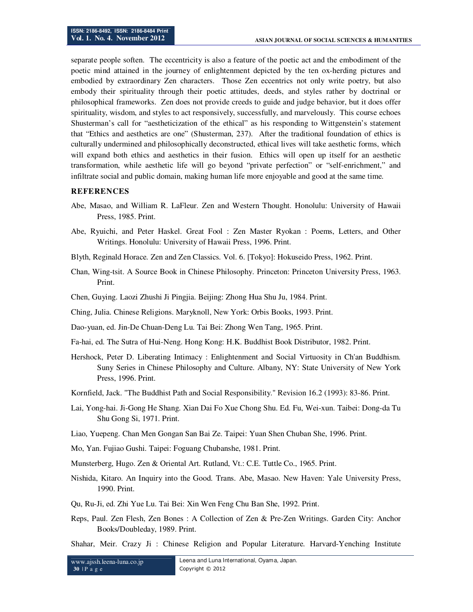separate people soften. The eccentricity is also a feature of the poetic act and the embodiment of the poetic mind attained in the journey of enlightenment depicted by the ten ox-herding pictures and embodied by extraordinary Zen characters. Those Zen eccentrics not only write poetry, but also embody their spirituality through their poetic attitudes, deeds, and styles rather by doctrinal or philosophical frameworks. Zen does not provide creeds to guide and judge behavior, but it does offer spirituality, wisdom, and styles to act responsively, successfully, and marvelously. This course echoes Shusterman's call for "aestheticization of the ethical" as his responding to Wittgenstein's statement that "Ethics and aesthetics are one" (Shusterman, 237). After the traditional foundation of ethics is culturally undermined and philosophically deconstructed, ethical lives will take aesthetic forms, which will expand both ethics and aesthetics in their fusion. Ethics will open up itself for an aesthetic transformation, while aesthetic life will go beyond "private perfection" or "self-enrichment," and infiltrate social and public domain, making human life more enjoyable and good at the same time.

#### **REFERENCES**

- Abe, Masao, and William R. LaFleur. Zen and Western Thought. Honolulu: University of Hawaii Press, 1985. Print.
- Abe, Ryuichi, and Peter Haskel. Great Fool : Zen Master Ryokan : Poems, Letters, and Other Writings. Honolulu: University of Hawaii Press, 1996. Print.
- Blyth, Reginald Horace. Zen and Zen Classics. Vol. 6. [Tokyo]: Hokuseido Press, 1962. Print.
- Chan, Wing-tsit. A Source Book in Chinese Philosophy. Princeton: Princeton University Press, 1963. Print.
- Chen, Guying. Laozi Zhushi Ji Pingjia. Beijing: Zhong Hua Shu Ju, 1984. Print.
- Ching, Julia. Chinese Religions. Maryknoll, New York: Orbis Books, 1993. Print.
- Dao-yuan, ed. Jin-De Chuan-Deng Lu. Tai Bei: Zhong Wen Tang, 1965. Print.
- Fa-hai, ed. The Sutra of Hui-Neng. Hong Kong: H.K. Buddhist Book Distributor, 1982. Print.
- Hershock, Peter D. Liberating Intimacy : Enlightenment and Social Virtuosity in Ch'an Buddhism. Suny Series in Chinese Philosophy and Culture. Albany, NY: State University of New York Press, 1996. Print.
- Kornfield, Jack. "The Buddhist Path and Social Responsibility." Revision 16.2 (1993): 83-86. Print.
- Lai, Yong-hai. Ji-Gong He Shang. Xian Dai Fo Xue Chong Shu. Ed. Fu, Wei-xun. Taibei: Dong-da Tu Shu Gong Si, 1971. Print.
- Liao, Yuepeng. Chan Men Gongan San Bai Ze. Taipei: Yuan Shen Chuban She, 1996. Print.
- Mo, Yan. Fujiao Gushi. Taipei: Foguang Chubanshe, 1981. Print.
- Munsterberg, Hugo. Zen & Oriental Art. Rutland, Vt.: C.E. Tuttle Co., 1965. Print.
- Nishida, Kitaro. An Inquiry into the Good. Trans. Abe, Masao. New Haven: Yale University Press, 1990. Print.
- Qu, Ru-Ji, ed. Zhi Yue Lu. Tai Bei: Xin Wen Feng Chu Ban She, 1992. Print.
- Reps, Paul. Zen Flesh, Zen Bones : A Collection of Zen & Pre-Zen Writings. Garden City: Anchor Books/Doubleday, 1989. Print.
- Shahar, Meir. Crazy Ji : Chinese Religion and Popular Literature. Harvard-Yenching Institute